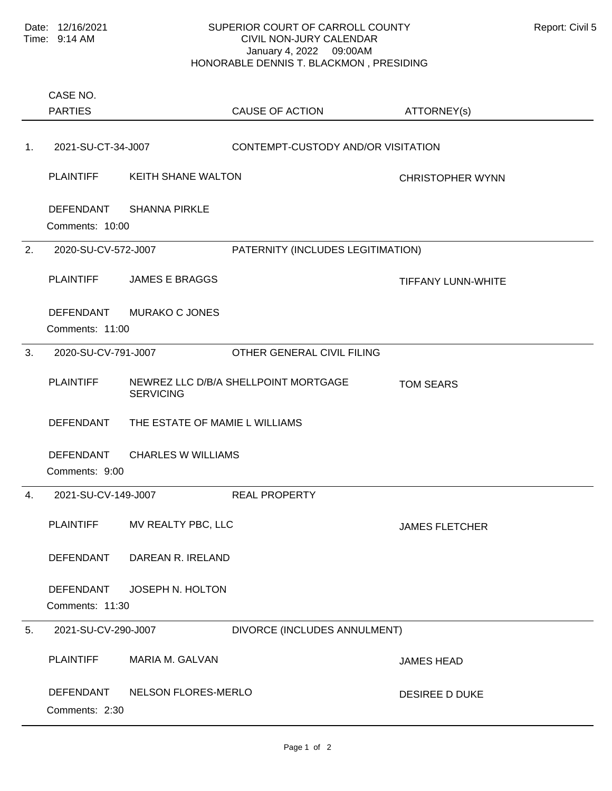## SUPERIOR COURT OF CARROLL COUNTY Report: Civil 5 CIVIL NON-JURY CALENDAR January 4, 2022 09:00AM HONORABLE DENNIS T. BLACKMON , PRESIDING

Comments: 10:00 PLAINTIFF KEITH SHANE WALTON CHRISTOPHER WYNN DEFENDANT SHANNA PIRKLE 1. 2021-SU-CT-34-J007 CONTEMPT-CUSTODY AND/OR VISITATION Comments: 11:00 PLAINTIFF JAMES E BRAGGS THE THEFANY LUNN-WHITE DEFENDANT MURAKO C JONES 2. 2020-SU-CV-572-J007 PATERNITY (INCLUDES LEGITIMATION) Comments: 9:00 PLAINTIFF MEWREZ LLC D/B/A SHELLPOINT MORTGAGE TOM SEARS **SERVICING** DEFENDANT THE ESTATE OF MAMIE L WILLIAMS DEFENDANT CHARLES W WILLIAMS 3. 2020-SU-CV-791-J007 OTHER GENERAL CIVIL FILING Comments: 11:30 PLAINTIFF MV REALTY PBC, LLC JAMES FLETCHER DEFENDANT DAREAN R. IRELAND DEFENDANT JOSEPH N. HOLTON 4. 2021-SU-CV-149-J007 REAL PROPERTY Comments: 2:30 PLAINTIFF MARIA M. GALVAN JAMES HEAD DEFENDANT NELSON FLORES-MERLO DESIREE D DUKE 5. 2021-SU-CV-290-J007 DIVORCE (INCLUDES ANNULMENT) PARTIES CASE NO. CAUSE OF ACTION ATTORNEY(s)